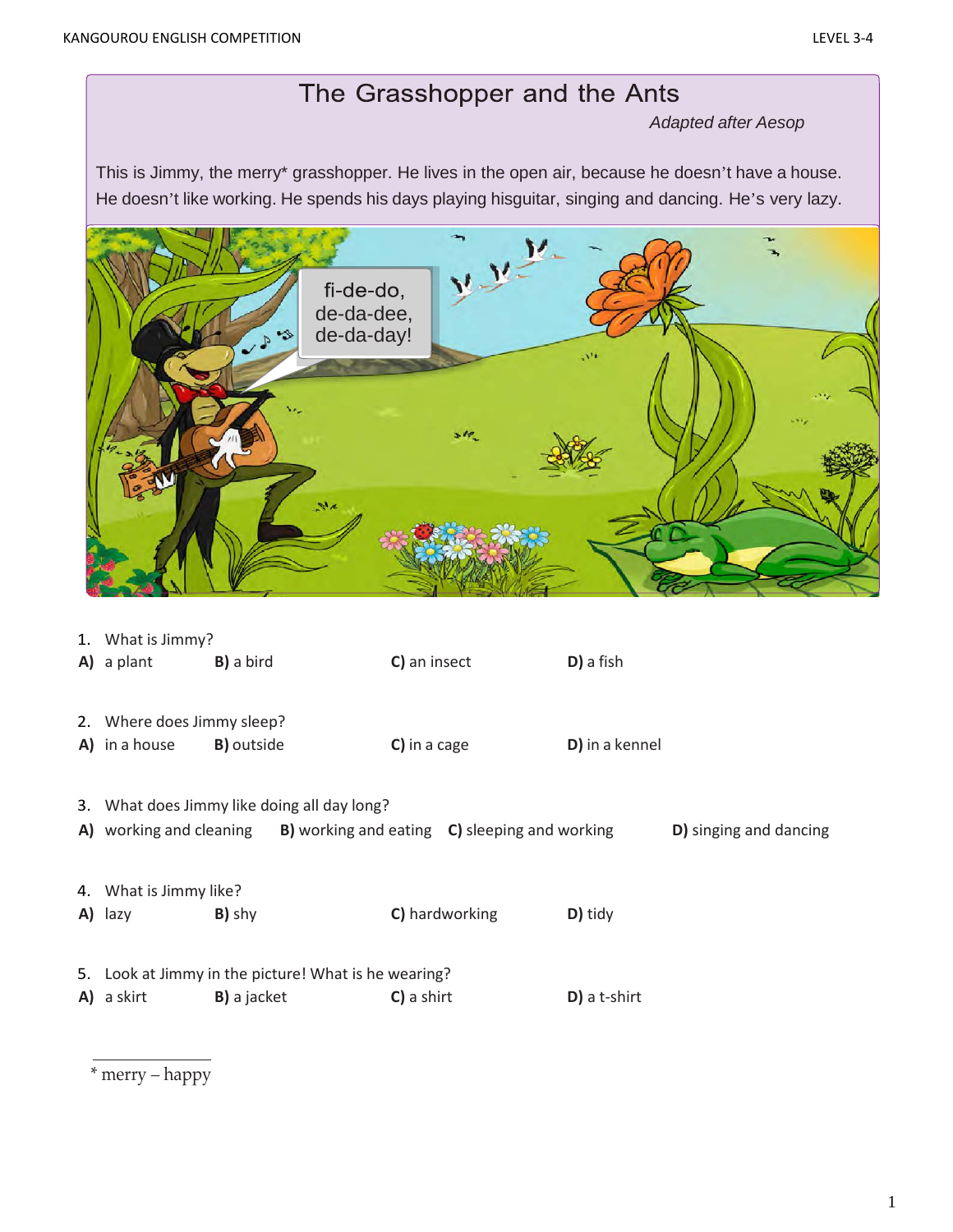## The Grasshopper and the Ants

*Adapted after Aesop*

This is Jimmy, the merry\* grasshopper. He lives in the open air, because he doesn't have a house. He doesn't like working. He spends his days playing hisguitar, singing and dancing. He's very lazy.



| 1. What is Jimmy?          |                                                      |                                                                       |                |                        |
|----------------------------|------------------------------------------------------|-----------------------------------------------------------------------|----------------|------------------------|
| A) a plant                 | <b>B)</b> a bird                                     | C) an insect                                                          | D) a fish      |                        |
| 2. Where does Jimmy sleep? |                                                      |                                                                       |                |                        |
| A) in a house              | <b>B)</b> outside                                    | C) in a cage                                                          | D) in a kennel |                        |
|                            | 3. What does Jimmy like doing all day long?          | A) working and cleaning B) working and eating C) sleeping and working |                | D) singing and dancing |
| 4. What is Jimmy like?     |                                                      |                                                                       |                |                        |
| A) lazy                    | B) shy                                               | C) hardworking                                                        | D) tidy        |                        |
|                            | 5. Look at Jimmy in the picture! What is he wearing? |                                                                       |                |                        |
| A) a skirt                 | <b>B)</b> a jacket                                   | C) a shirt                                                            | D) a t-shirt   |                        |
|                            |                                                      |                                                                       |                |                        |

\* merry – happy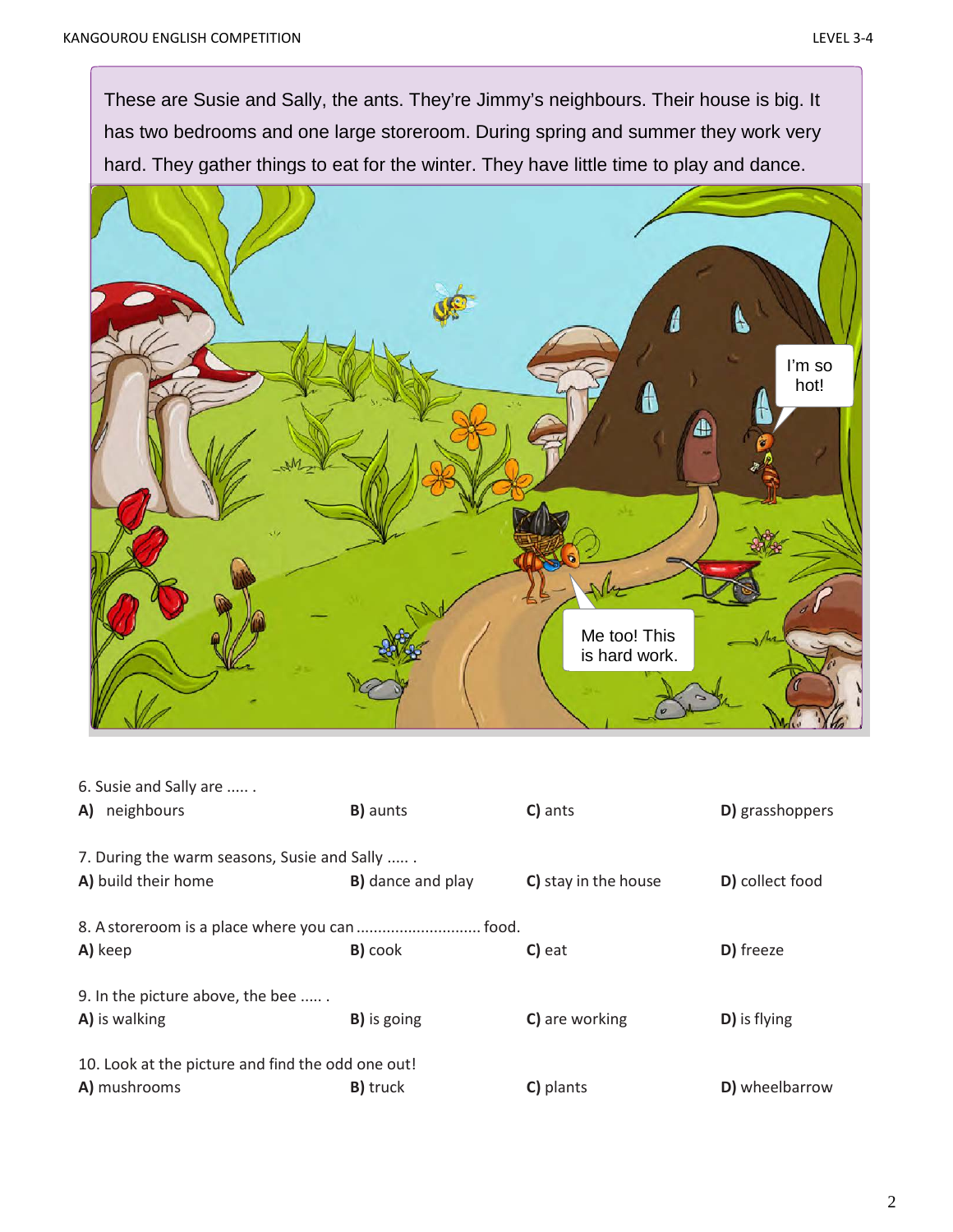These are Susie and Sally, the ants. They're Jimmy's neighbours. Their house is big. It has two bedrooms and one large storeroom. During spring and summer they work very hard. They gather things to eat for the winter. They have little time to play and dance.



| 6. Susie and Sally are                            |                           |                      |                 |
|---------------------------------------------------|---------------------------|----------------------|-----------------|
| A) neighbours                                     | <b>B)</b> aunts           | C) ants              | D) grasshoppers |
| 7. During the warm seasons, Susie and Sally       |                           |                      |                 |
|                                                   |                           |                      |                 |
| A) build their home                               | <b>B</b> ) dance and play | C) stay in the house | D) collect food |
|                                                   |                           |                      |                 |
|                                                   |                           |                      |                 |
| A) keep                                           | <b>B</b> ) cook           | C) eat               | D) freeze       |
| 9. In the picture above, the bee                  |                           |                      |                 |
|                                                   |                           |                      |                 |
| A) is walking                                     | <b>B)</b> is going        | C) are working       | D) is flying    |
| 10. Look at the picture and find the odd one out! |                           |                      |                 |
|                                                   |                           |                      |                 |
| A) mushrooms                                      | <b>B</b> ) truck          | C) plants            | D) wheelbarrow  |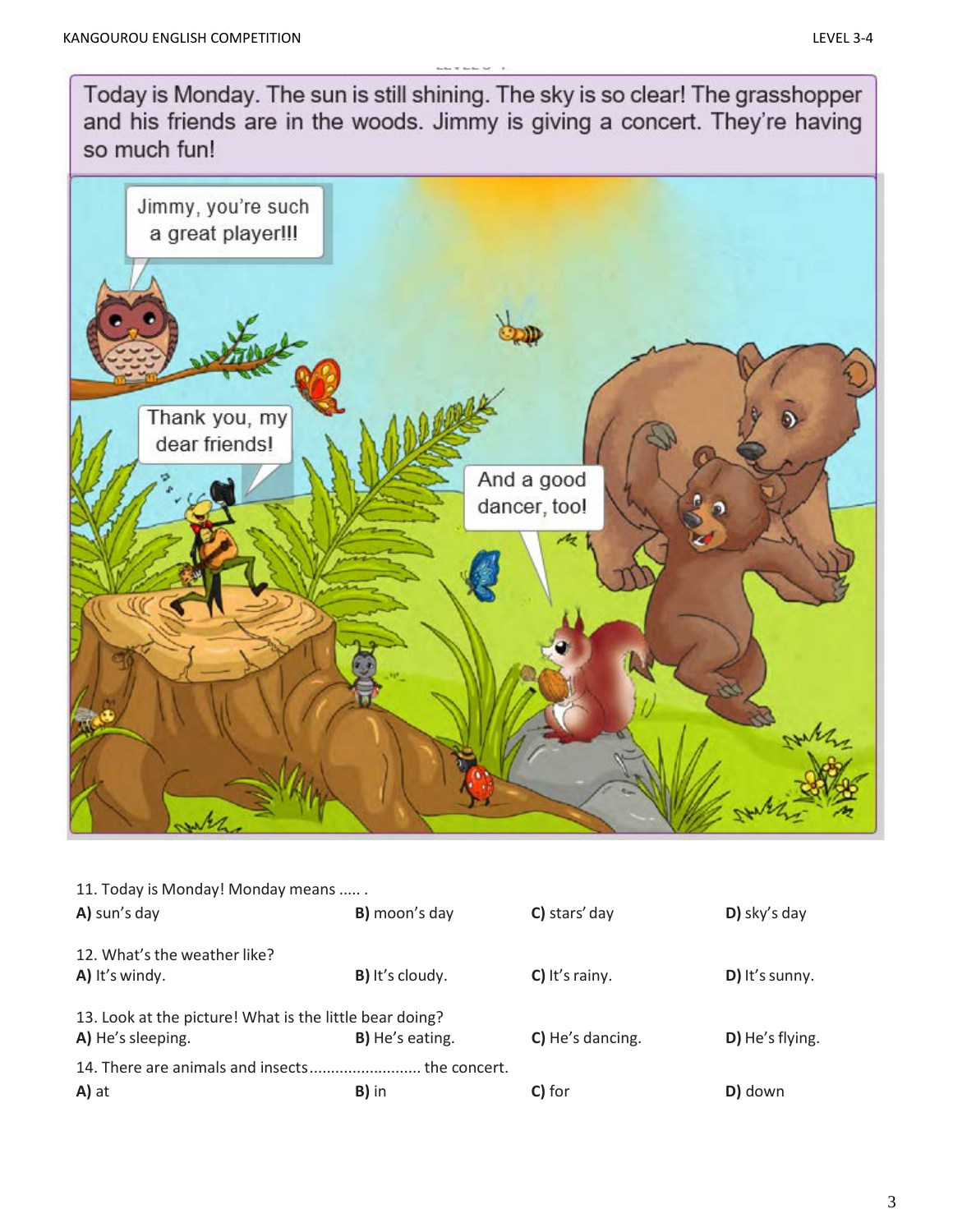Today is Monday. The sun is still shining. The sky is so clear! The grasshopper and his friends are in the woods. Jimmy is giving a concert. They're having so much fun! Jimmy, you're such a great player !!! Thank you, my dear friends! And a good dancer, too! M when

| 11. Today is Monday! Monday means                       |                        |                  |                 |
|---------------------------------------------------------|------------------------|------------------|-----------------|
| A) sun's day                                            | B) moon's day          | C) stars' day    | $D)$ sky's day  |
| 12. What's the weather like?                            |                        |                  |                 |
| A) It's windy.                                          | <b>B)</b> It's cloudy. | C) It's rainy.   | D) It's sunny.  |
| 13. Look at the picture! What is the little bear doing? |                        |                  |                 |
| A) He's sleeping.                                       | <b>B)</b> He's eating. | C) He's dancing. | D) He's flying. |
| 14. There are animals and insects the concert.          |                        |                  |                 |
| A) at                                                   | B) in                  | C) for           | D) down         |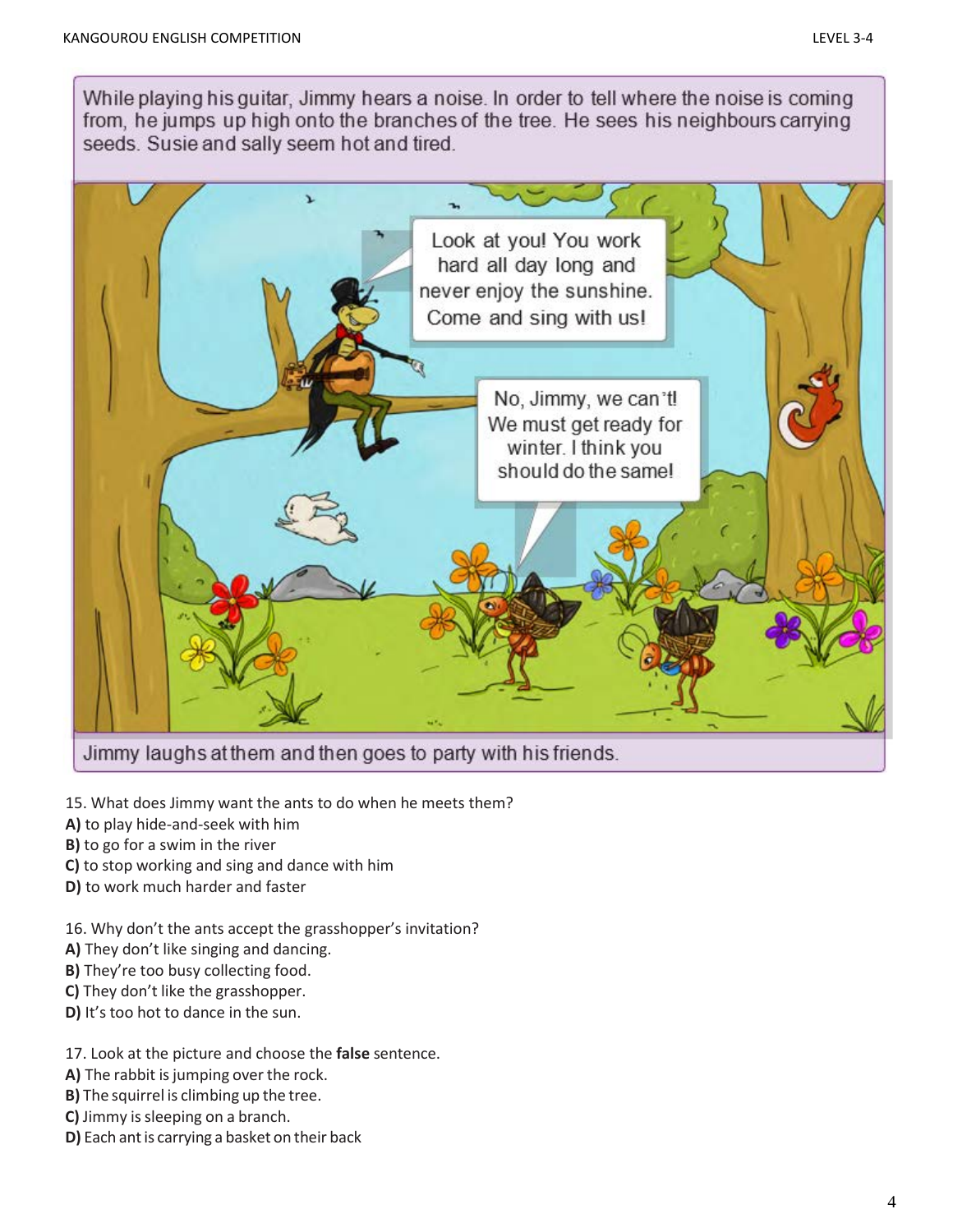While playing his guitar, Jimmy hears a noise. In order to tell where the noise is coming from, he jumps up high onto the branches of the tree. He sees his neighbours carrying seeds. Susie and sally seem hot and tired.



Jimmy laughs at them and then goes to party with his friends.

- 15. What does Jimmy want the ants to do when he meets them?
- **A)** to play hide-and-seek with him
- **B)** to go for a swim in the river
- **C)** to stop working and sing and dance with him
- **D)** to work much harder and faster
- 16. Why don't the ants accept the grasshopper's invitation?
- **A)** They don't like singing and dancing.
- **B)** They're too busy collecting food.
- **C)** They don't like the grasshopper.
- **D)** It's too hot to dance in the sun.

## 17. Look at the picture and choose the **false** sentence.

- A) The rabbit is jumping over the rock.
- **B)** The squirrel is climbing up the tree.
- **C)** Jimmy is sleeping on a branch.
- **D)** Each ant is carrying a basket on their back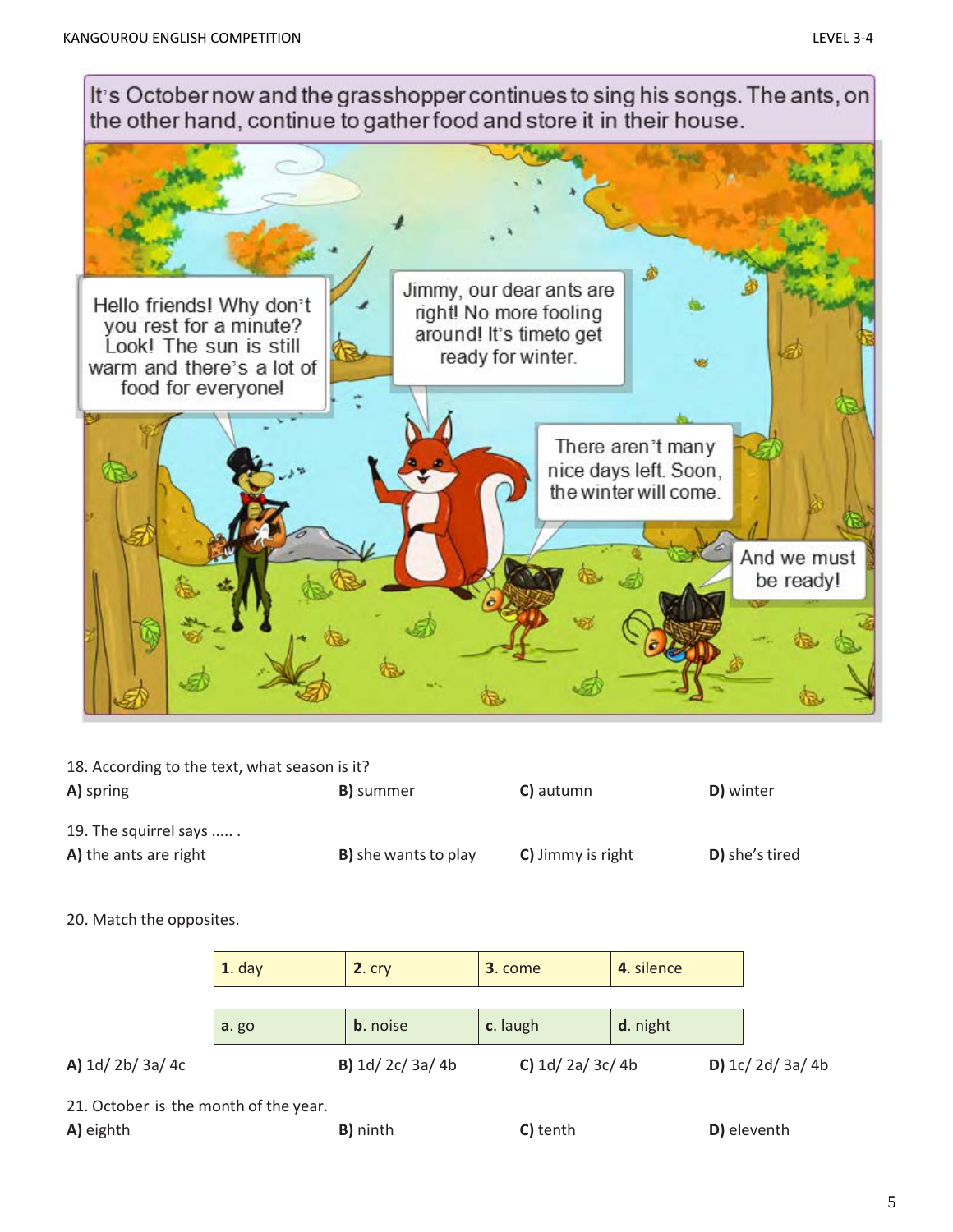

18. According to the text, what season is it?

| A) spring                                      | <b>B</b> ) summer            | C) autumn         | D) winter      |
|------------------------------------------------|------------------------------|-------------------|----------------|
| 19. The squirrel says<br>A) the ants are right | <b>B</b> ) she wants to play | C) Jimmy is right | D) she's tired |

## 20. Match the opposites.

|                                      | $1.$ day     | $2.$ $crv$              | 3. come          | 4. silence |                  |
|--------------------------------------|--------------|-------------------------|------------------|------------|------------------|
|                                      | <b>a.</b> go | <b>b</b> . noise        | c. laugh         | d. night   |                  |
| A) $1d/2b/3a/4c$                     |              | <b>B)</b> $1d/2c/3a/4b$ | C) $1d/2a/3c/4b$ |            | $D)$ 1c/2d/3a/4b |
| 21 October is the month of the year. |              |                         |                  |            |                  |

21. October is the month of the year.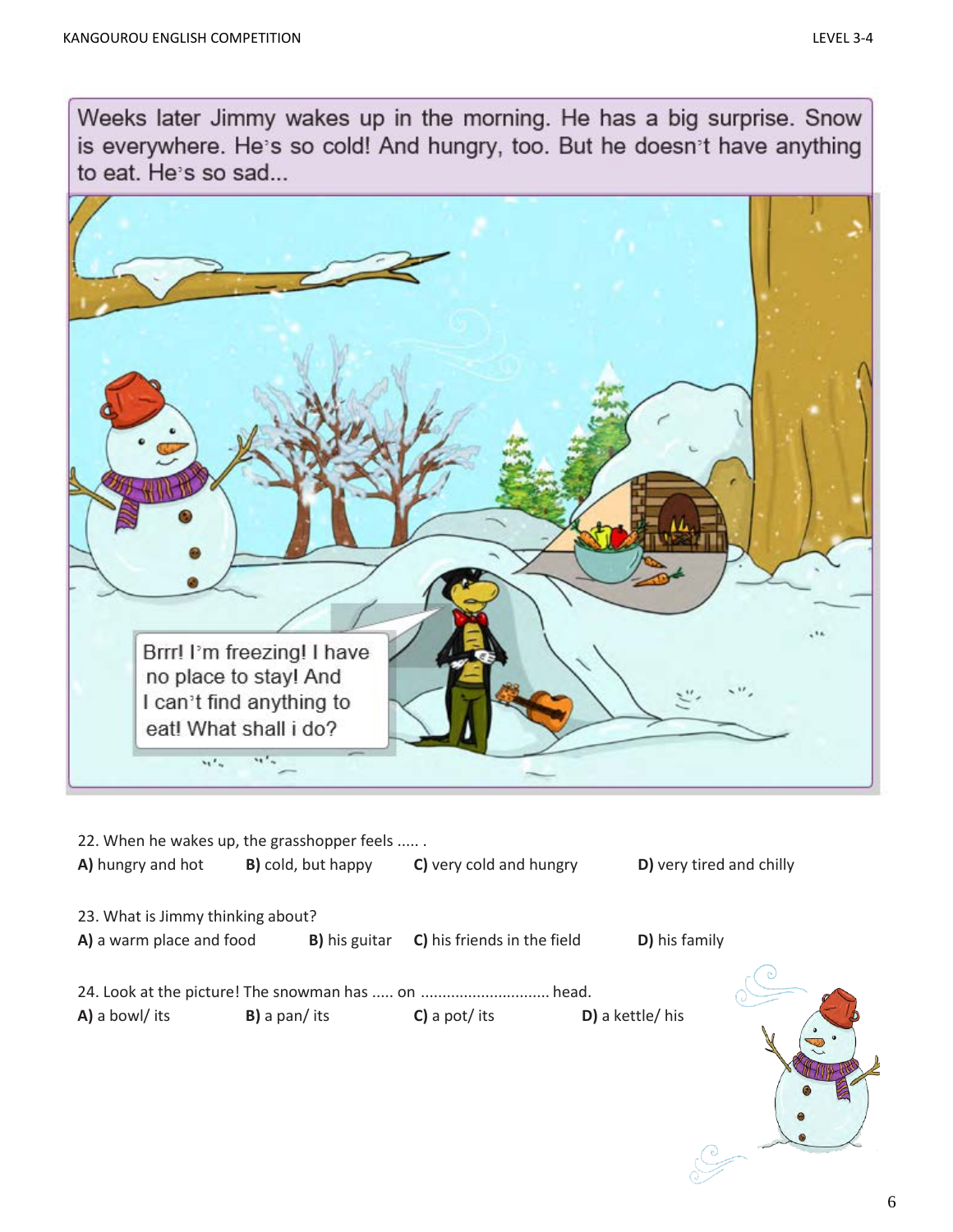Weeks later Jimmy wakes up in the morning. He has a big surprise. Snow is everywhere. He's so cold! And hungry, too. But he doesn't have anything to eat. He's so sad...



|                                   | 22. When he wakes up, the grasshopper feels |                             |                          |  |
|-----------------------------------|---------------------------------------------|-----------------------------|--------------------------|--|
| A) hungry and hot                 | <b>B)</b> cold, but happy                   | C) very cold and hungry     | D) very tired and chilly |  |
| 23. What is Jimmy thinking about? |                                             |                             |                          |  |
| A) a warm place and food          | <b>B</b> ) his guitar                       | C) his friends in the field | D) his family            |  |
|                                   |                                             |                             |                          |  |
|                                   |                                             |                             |                          |  |
| A) a bowl/ its                    | $B$ ) a pan/ its                            | $C$ ) a pot/ its            | D) a kettle/ his         |  |
|                                   |                                             |                             |                          |  |
|                                   |                                             |                             |                          |  |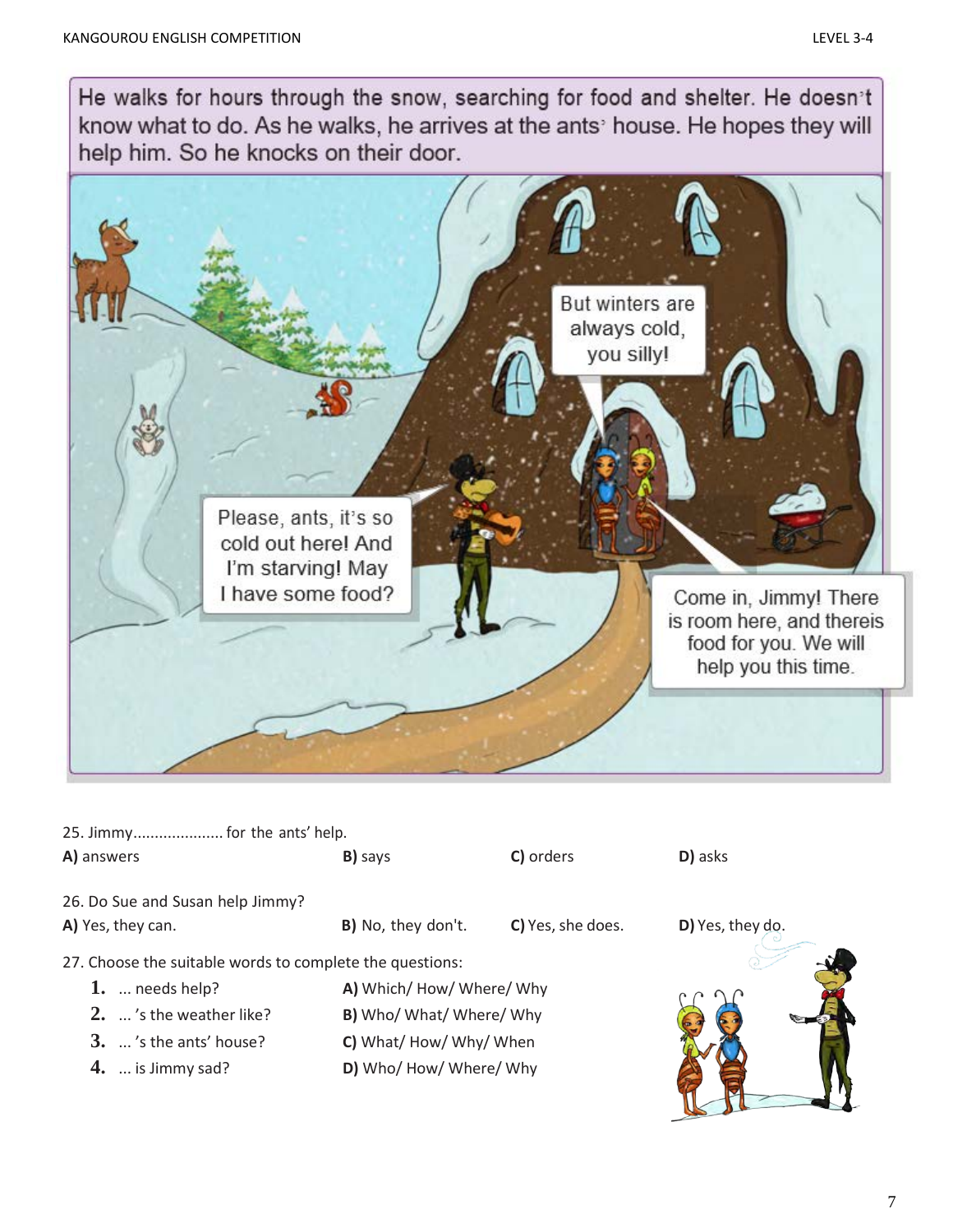He walks for hours through the snow, searching for food and shelter. He doesn't know what to do. As he walks, he arrives at the ants' house. He hopes they will help him. So he knocks on their door.



| 25. Jimmy for the ants' help. |  |  |  |  |  |
|-------------------------------|--|--|--|--|--|
|-------------------------------|--|--|--|--|--|

| A) answers                                               | B) says                | C) orders                | D) asks            |
|----------------------------------------------------------|------------------------|--------------------------|--------------------|
| 26. Do Sue and Susan help Jimmy?                         |                        |                          |                    |
| A) Yes, they can.                                        | B) No, they don't.     | C) Yes, she does.        | $D)$ Yes, they do. |
| 27. Choose the suitable words to complete the questions: |                        |                          |                    |
| 1. $\ldots$ needs help?                                  | A) Which/How/Where/Why |                          |                    |
| 2.  's the weather like?                                 |                        | B) Who/ What/ Where/ Why |                    |
|                                                          |                        |                          |                    |

- **3.** ... 's the ants' house? **C)** What/ How/ Why/ When
	-
- **4.** ... is Jimmy sad? **D)** Who/ How/ Where/ Why